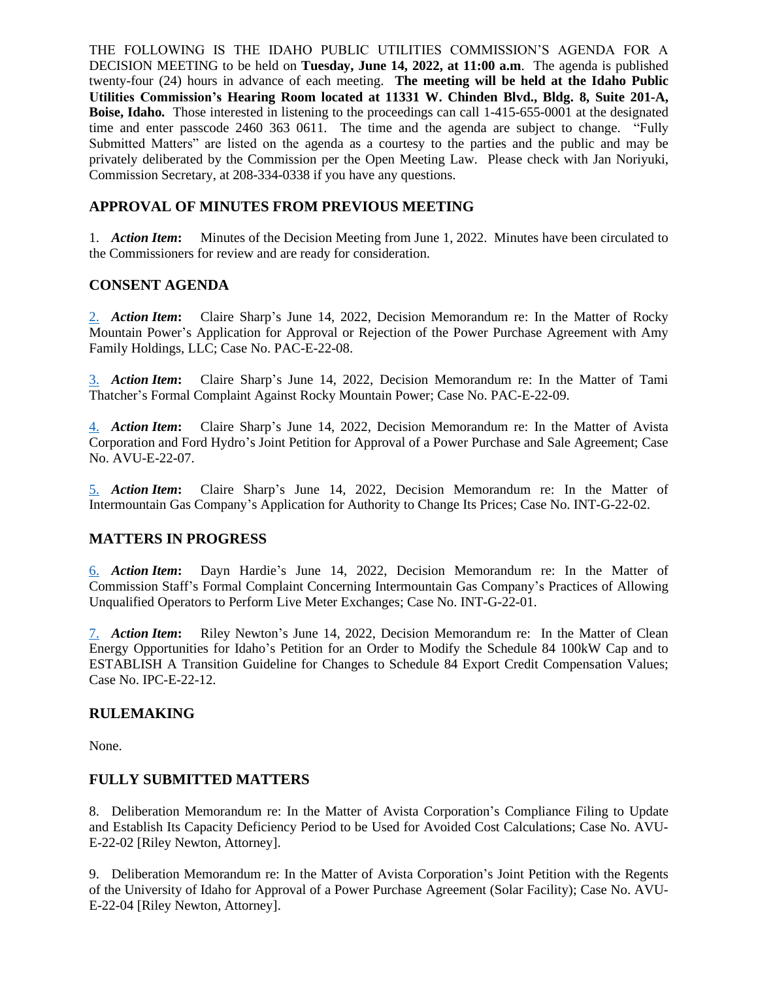THE FOLLOWING IS THE IDAHO PUBLIC UTILITIES COMMISSION'S AGENDA FOR A DECISION MEETING to be held on **Tuesday, June 14, 2022, at 11:00 a.m**. The agenda is published twenty-four (24) hours in advance of each meeting. **The meeting will be held at the Idaho Public Utilities Commission's Hearing Room located at 11331 W. Chinden Blvd., Bldg. 8, Suite 201-A, Boise, Idaho.** Those interested in listening to the proceedings can call 1-415-655-0001 at the designated time and enter passcode 2460 363 0611. The time and the agenda are subject to change. "Fully Submitted Matters" are listed on the agenda as a courtesy to the parties and the public and may be privately deliberated by the Commission per the Open Meeting Law. Please check with Jan Noriyuki, Commission Secretary, at 208-334-0338 if you have any questions.

# **APPROVAL OF MINUTES FROM PREVIOUS MEETING**

1. *Action Item***:** Minutes of the Decision Meeting from June 1, 2022. Minutes have been circulated to the Commissioners for review and are ready for consideration.

## **CONSENT AGENDA**

[2.](https://puc.idaho.gov/Fileroom/PublicFiles/Agenda/memos/2022/20220614_2.PACE2208_cs.pdf) *Action Item***:** Claire Sharp's June 14, 2022, Decision Memorandum re: In the Matter of Rocky Mountain Power's Application for Approval or Rejection of the Power Purchase Agreement with Amy Family Holdings, LLC; Case No. PAC-E-22-08.

[3.](https://puc.idaho.gov/Fileroom/PublicFiles/Agenda/memos/2022/20220614_3.PACE2209_cs.pdf) *Action Item***:** Claire Sharp's June 14, 2022, Decision Memorandum re: In the Matter of Tami Thatcher's Formal Complaint Against Rocky Mountain Power; Case No. PAC-E-22-09.

[4.](https://puc.idaho.gov/Fileroom/PublicFiles/Agenda/memos/2022/20220614_4.AVUE2207_cs.pdf) *Action Item***:** Claire Sharp's June 14, 2022, Decision Memorandum re: In the Matter of Avista Corporation and Ford Hydro's Joint Petition for Approval of a Power Purchase and Sale Agreement; Case No. AVU-E-22-07.

[5.](https://puc.idaho.gov/Fileroom/PublicFiles/Agenda/memos/2022/20220614_5.INTG2202_cs.pdf) *Action Item***:** Claire Sharp's June 14, 2022, Decision Memorandum re: In the Matter of Intermountain Gas Company's Application for Authority to Change Its Prices; Case No. INT-G-22-02.

## **MATTERS IN PROGRESS**

[6.](https://puc.idaho.gov/Fileroom/PublicFiles/Agenda/memos/2022/20220614_6.INTG2201_dh.pdf) *Action Item***:** Dayn Hardie's June 14, 2022, Decision Memorandum re: In the Matter of Commission Staff's Formal Complaint Concerning Intermountain Gas Company's Practices of Allowing Unqualified Operators to Perform Live Meter Exchanges; Case No. INT-G-22-01.

[7.](https://puc.idaho.gov/Fileroom/PublicFiles/Agenda/memos/2022/20220614_7.IPCE2212_rn.pdf) *Action Item***:** Riley Newton's June 14, 2022, Decision Memorandum re: In the Matter of Clean Energy Opportunities for Idaho's Petition for an Order to Modify the Schedule 84 100kW Cap and to ESTABLISH A Transition Guideline for Changes to Schedule 84 Export Credit Compensation Values; Case No. IPC-E-22-12.

### **RULEMAKING**

None.

### **FULLY SUBMITTED MATTERS**

8. Deliberation Memorandum re: In the Matter of Avista Corporation's Compliance Filing to Update and Establish Its Capacity Deficiency Period to be Used for Avoided Cost Calculations; Case No. AVU-E-22-02 [Riley Newton, Attorney].

9. Deliberation Memorandum re: In the Matter of Avista Corporation's Joint Petition with the Regents of the University of Idaho for Approval of a Power Purchase Agreement (Solar Facility); Case No. AVU-E-22-04 [Riley Newton, Attorney].